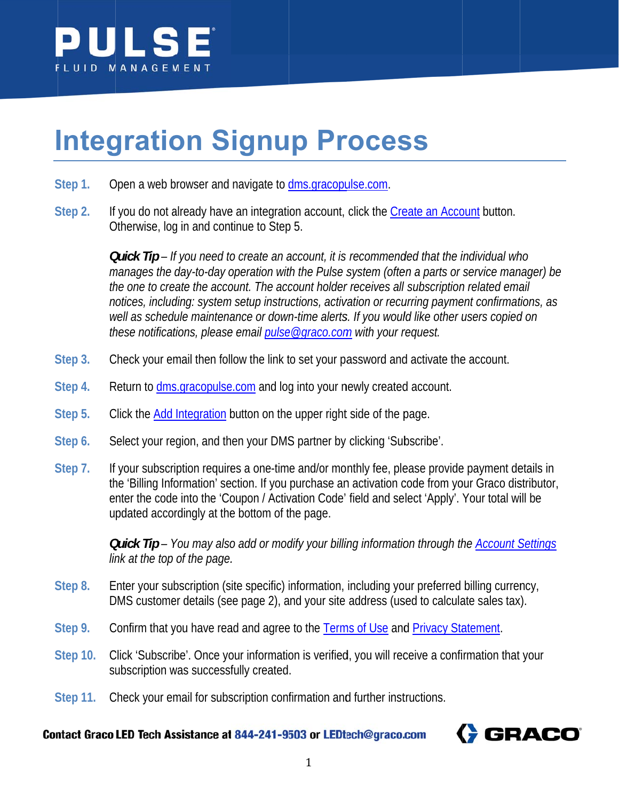

# **Integration Signup Process**

- Step 1. Open a web browser and navigate to dms.gracopulse.com.
- Step 2. If you do not already have an integration account, click the Create an Account button. Otherwise, log in and continue to Step 5.

**Quick Tip** – If you need to create an account, it is recommended that the individual who manages the day-to-day operation with the Pulse system (often a parts or service manager) be the one to create the account. The account holder receives all subscription related email notices, including: system setup instructions, activation or recurring payment confirmations, as well as schedule maintenance or down-time alerts. If you would like other users copied on these notifications, please email pulse@graco.com with your request.

- Check your email then follow the link to set your password and activate the account. Step 3.
- Return to dms.gracopulse.com and log into your newly created account. Step 4.
- Step 5. Click the Add Integration button on the upper right side of the page.
- Step 6. Select your region, and then your DMS partner by clicking 'Subscribe'.
- Step 7. If your subscription requires a one-time and/or monthly fee, please provide payment details in the 'Billing Information' section. If you purchase an activation code from your Graco distributor, enter the code into the 'Coupon / Activation Code' field and select 'Apply'. Your total will be updated accordingly at the bottom of the page.

Quick Tip - You may also add or modify your billing information through the Account Settings link at the top of the page.

- Step 8. Enter your subscription (site specific) information, including your preferred billing currency, DMS customer details (see page 2), and your site address (used to calculate sales tax).
- Step 9. Confirm that you have read and agree to the Terms of Use and Privacy Statement.
- Click 'Subscribe'. Once your information is verified, you will receive a confirmation that your Step 10. subscription was successfully created.
- Step 11. Check your email for subscription confirmation and further instructions.

Contact Graco LED Tech Assistance at 844-241-9503 or LEDtech@graco.com